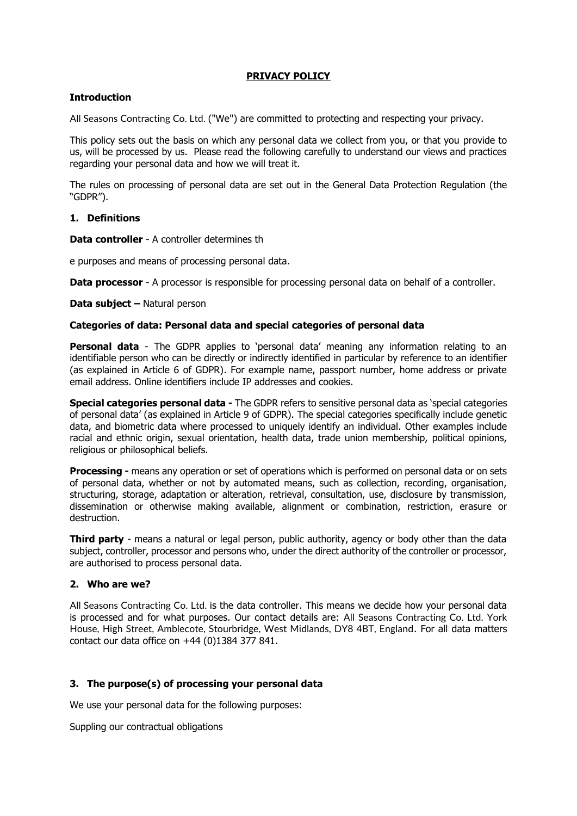### **PRIVACY POLICY**

## **Introduction**

All Seasons Contracting Co. Ltd. ("We") are committed to protecting and respecting your privacy.

This policy sets out the basis on which any personal data we collect from you, or that you provide to us, will be processed by us. Please read the following carefully to understand our views and practices regarding your personal data and how we will treat it.

The rules on processing of personal data are set out in the General Data Protection Regulation (the "GDPR").

## **1. Definitions**

**Data controller** - A controller determines th

e purposes and means of processing personal data.

**Data processor** - A processor is responsible for processing personal data on behalf of a controller.

**Data subject –** Natural person

#### **Categories of data: Personal data and special categories of personal data**

**Personal data** - The GDPR applies to 'personal data' meaning any information relating to an identifiable person who can be directly or indirectly identified in particular by reference to an identifier (as explained in Article 6 of GDPR). For example name, passport number, home address or private email address. Online identifiers include IP addresses and cookies.

**Special categories personal data -** The GDPR refers to sensitive personal data as 'special categories of personal data' (as explained in Article 9 of GDPR). The special categories specifically include genetic data, and biometric data where processed to uniquely identify an individual. Other examples include racial and ethnic origin, sexual orientation, health data, trade union membership, political opinions, religious or philosophical beliefs.

**Processing -** means any operation or set of operations which is performed on personal data or on sets of personal data, whether or not by automated means, such as collection, recording, organisation, structuring, storage, adaptation or alteration, retrieval, consultation, use, disclosure by transmission, dissemination or otherwise making available, alignment or combination, restriction, erasure or destruction.

**Third party** - means a natural or legal person, public authority, agency or body other than the data subject, controller, processor and persons who, under the direct authority of the controller or processor, are authorised to process personal data.

# **2. Who are we?**

All Seasons Contracting Co. Ltd. is the data controller. This means we decide how your personal data is processed and for what purposes. Our contact details are: All Seasons Contracting Co. Ltd. York House, High Street, Amblecote, Stourbridge, West Midlands, DY8 4BT, England. For all data matters contact our data office on +44 (0)1384 377 841.

# **3. The purpose(s) of processing your personal data**

We use your personal data for the following purposes:

Suppling our contractual obligations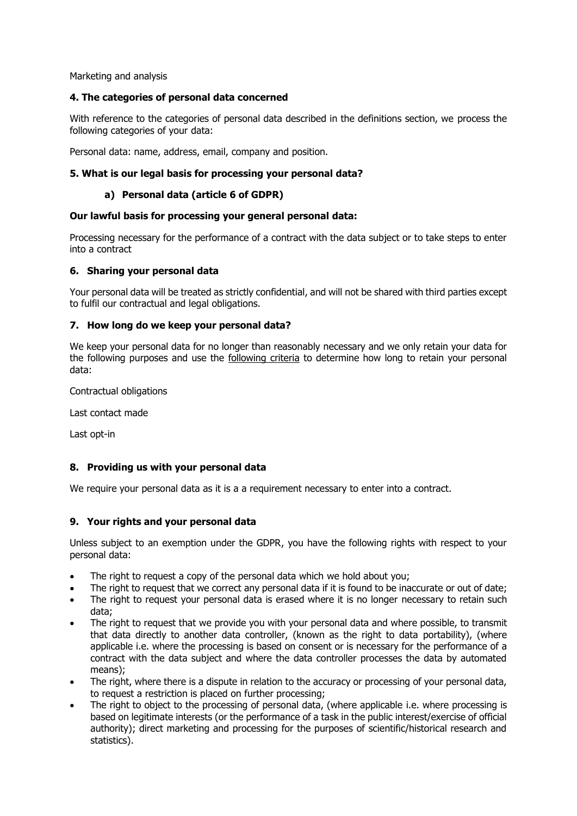Marketing and analysis

## **4. The categories of personal data concerned**

With reference to the categories of personal data described in the definitions section, we process the following categories of your data:

Personal data: name, address, email, company and position.

## **5. What is our legal basis for processing your personal data?**

## **a) Personal data (article 6 of GDPR)**

#### **Our lawful basis for processing your general personal data:**

Processing necessary for the performance of a contract with the data subject or to take steps to enter into a contract

### **6. Sharing your personal data**

Your personal data will be treated as strictly confidential, and will not be shared with third parties except to fulfil our contractual and legal obligations.

#### **7. How long do we keep your personal data?**

We keep your personal data for no longer than reasonably necessary and we only retain your data for the following purposes and use the following criteria to determine how long to retain your personal data:

Contractual obligations

Last contact made

Last opt-in

#### **8. Providing us with your personal data**

We require your personal data as it is a a requirement necessary to enter into a contract.

#### **9. Your rights and your personal data**

Unless subject to an exemption under the GDPR, you have the following rights with respect to your personal data:

- The right to request a copy of the personal data which we hold about you;
- The right to request that we correct any personal data if it is found to be inaccurate or out of date; • The right to request your personal data is erased where it is no longer necessary to retain such
- data; The right to request that we provide you with your personal data and where possible, to transmit
- that data directly to another data controller, (known as the right to data portability), (where applicable i.e. where the processing is based on consent or is necessary for the performance of a contract with the data subject and where the data controller processes the data by automated means);
- The right, where there is a dispute in relation to the accuracy or processing of your personal data, to request a restriction is placed on further processing;
- The right to object to the processing of personal data, (where applicable i.e. where processing is based on legitimate interests (or the performance of a task in the public interest/exercise of official authority); direct marketing and processing for the purposes of scientific/historical research and statistics).